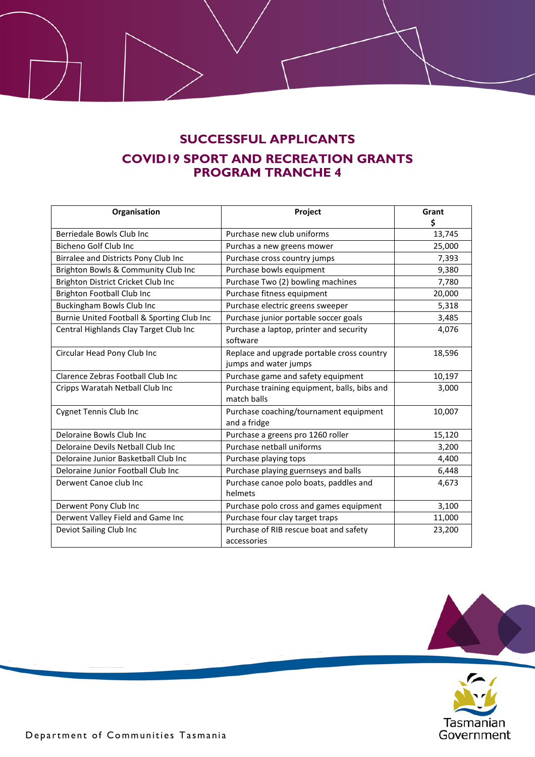## **SUCCESSFUL APPLICANTS COVID19 SPORT AND RECREATION GRANTS PROGRAM TRANCHE 4**

| Organisation                               | Project                                      | Grant  |
|--------------------------------------------|----------------------------------------------|--------|
|                                            |                                              | \$     |
| Berriedale Bowls Club Inc                  | Purchase new club uniforms                   | 13,745 |
| Bicheno Golf Club Inc                      | Purchas a new greens mower                   | 25,000 |
| Birralee and Districts Pony Club Inc       | Purchase cross country jumps                 | 7,393  |
| Brighton Bowls & Community Club Inc        | Purchase bowls equipment                     | 9,380  |
| Brighton District Cricket Club Inc         | Purchase Two (2) bowling machines            | 7,780  |
| <b>Brighton Football Club Inc</b>          | Purchase fitness equipment                   | 20,000 |
| Buckingham Bowls Club Inc                  | Purchase electric greens sweeper             | 5,318  |
| Burnie United Football & Sporting Club Inc | Purchase junior portable soccer goals        | 3,485  |
| Central Highlands Clay Target Club Inc     | Purchase a laptop, printer and security      | 4,076  |
|                                            | software                                     |        |
| Circular Head Pony Club Inc                | Replace and upgrade portable cross country   | 18,596 |
|                                            | jumps and water jumps                        |        |
| Clarence Zebras Football Club Inc          | Purchase game and safety equipment           | 10,197 |
| Cripps Waratah Netball Club Inc            | Purchase training equipment, balls, bibs and | 3,000  |
|                                            | match balls                                  |        |
| <b>Cygnet Tennis Club Inc</b>              | Purchase coaching/tournament equipment       | 10,007 |
|                                            | and a fridge                                 |        |
| Deloraine Bowls Club Inc                   | Purchase a greens pro 1260 roller            | 15,120 |
| Deloraine Devils Netball Club Inc          | Purchase netball uniforms                    | 3,200  |
| Deloraine Junior Basketball Club Inc       | Purchase playing tops                        | 4,400  |
| Deloraine Junior Football Club Inc         | Purchase playing guernseys and balls         | 6,448  |
| Derwent Canoe club Inc                     | Purchase canoe polo boats, paddles and       | 4,673  |
|                                            | helmets                                      |        |
| Derwent Pony Club Inc                      | Purchase polo cross and games equipment      | 3,100  |
| Derwent Valley Field and Game Inc          | Purchase four clay target traps              | 11,000 |
| Deviot Sailing Club Inc                    | Purchase of RIB rescue boat and safety       | 23,200 |
|                                            | accessories                                  |        |



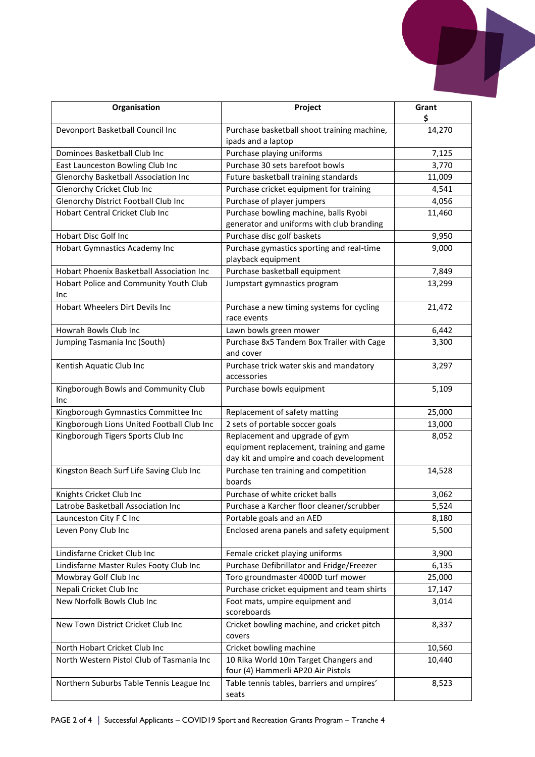

| Organisation                                  | Project                                                                                                                | Grant<br>\$ |
|-----------------------------------------------|------------------------------------------------------------------------------------------------------------------------|-------------|
| Devonport Basketball Council Inc              | Purchase basketball shoot training machine,<br>ipads and a laptop                                                      | 14,270      |
| Dominoes Basketball Club Inc                  | Purchase playing uniforms                                                                                              | 7,125       |
| East Launceston Bowling Club Inc              | Purchase 30 sets barefoot bowls                                                                                        | 3,770       |
| Glenorchy Basketball Association Inc          | Future basketball training standards                                                                                   | 11,009      |
| Glenorchy Cricket Club Inc                    | Purchase cricket equipment for training                                                                                | 4,541       |
| Glenorchy District Football Club Inc          | Purchase of player jumpers                                                                                             | 4,056       |
| Hobart Central Cricket Club Inc               | Purchase bowling machine, balls Ryobi<br>generator and uniforms with club branding                                     | 11,460      |
| <b>Hobart Disc Golf Inc</b>                   | Purchase disc golf baskets                                                                                             | 9,950       |
| Hobart Gymnastics Academy Inc                 | Purchase gymastics sporting and real-time<br>playback equipment                                                        | 9,000       |
| Hobart Phoenix Basketball Association Inc     | Purchase basketball equipment                                                                                          | 7,849       |
| Hobart Police and Community Youth Club<br>Inc | Jumpstart gymnastics program                                                                                           | 13,299      |
| Hobart Wheelers Dirt Devils Inc               | Purchase a new timing systems for cycling<br>race events                                                               | 21,472      |
| Howrah Bowls Club Inc                         | Lawn bowls green mower                                                                                                 | 6,442       |
| Jumping Tasmania Inc (South)                  | Purchase 8x5 Tandem Box Trailer with Cage<br>and cover                                                                 | 3,300       |
| Kentish Aquatic Club Inc                      | Purchase trick water skis and mandatory<br>accessories                                                                 | 3,297       |
| Kingborough Bowls and Community Club<br>Inc   | Purchase bowls equipment                                                                                               | 5,109       |
| Kingborough Gymnastics Committee Inc          | Replacement of safety matting                                                                                          | 25,000      |
| Kingborough Lions United Football Club Inc    | 2 sets of portable soccer goals                                                                                        | 13,000      |
| Kingborough Tigers Sports Club Inc            | Replacement and upgrade of gym<br>equipment replacement, training and game<br>day kit and umpire and coach development | 8,052       |
| Kingston Beach Surf Life Saving Club Inc      | Purchase ten training and competition<br>boards                                                                        | 14,528      |
| Knights Cricket Club Inc                      | Purchase of white cricket balls                                                                                        | 3,062       |
| Latrobe Basketball Association Inc            | Purchase a Karcher floor cleaner/scrubber                                                                              | 5,524       |
| Launceston City F C Inc                       | Portable goals and an AED                                                                                              | 8,180       |
| Leven Pony Club Inc                           | Enclosed arena panels and safety equipment                                                                             | 5,500       |
| Lindisfarne Cricket Club Inc                  | Female cricket playing uniforms                                                                                        | 3,900       |
| Lindisfarne Master Rules Footy Club Inc       | Purchase Defibrillator and Fridge/Freezer                                                                              | 6,135       |
| Mowbray Golf Club Inc                         | Toro groundmaster 4000D turf mower                                                                                     | 25,000      |
| Nepali Cricket Club Inc                       | Purchase cricket equipment and team shirts                                                                             | 17,147      |
| New Norfolk Bowls Club Inc                    | Foot mats, umpire equipment and<br>scoreboards                                                                         | 3,014       |
| New Town District Cricket Club Inc            | Cricket bowling machine, and cricket pitch<br>covers                                                                   | 8,337       |
| North Hobart Cricket Club Inc                 | Cricket bowling machine                                                                                                | 10,560      |
| North Western Pistol Club of Tasmania Inc     | 10 Rika World 10m Target Changers and<br>four (4) Hammerli AP20 Air Pistols                                            | 10,440      |
| Northern Suburbs Table Tennis League Inc      | Table tennis tables, barriers and umpires'<br>seats                                                                    | 8,523       |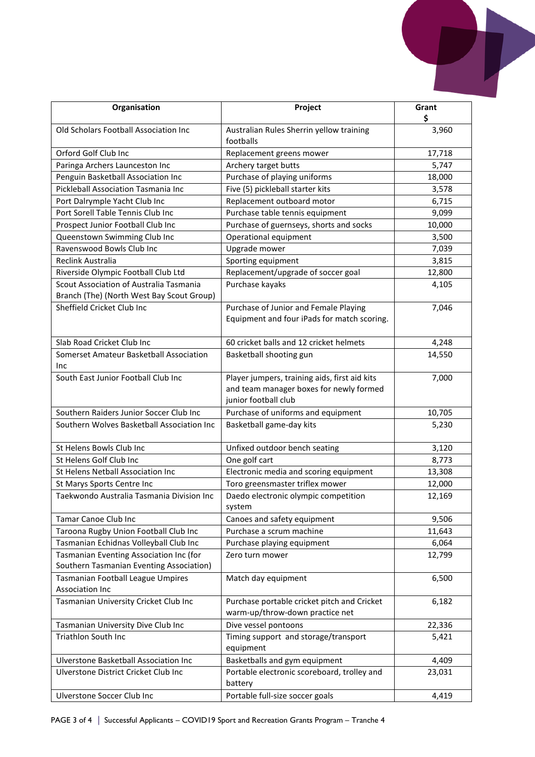

| Organisation                                                                         | Project                                                                                                          | Grant<br>\$ |
|--------------------------------------------------------------------------------------|------------------------------------------------------------------------------------------------------------------|-------------|
| Old Scholars Football Association Inc                                                | Australian Rules Sherrin yellow training<br>footballs                                                            | 3,960       |
| Orford Golf Club Inc                                                                 | Replacement greens mower                                                                                         | 17,718      |
| Paringa Archers Launceston Inc                                                       | Archery target butts                                                                                             | 5,747       |
| Penguin Basketball Association Inc                                                   | Purchase of playing uniforms                                                                                     | 18,000      |
| Pickleball Association Tasmania Inc                                                  | Five (5) pickleball starter kits                                                                                 | 3,578       |
| Port Dalrymple Yacht Club Inc                                                        | Replacement outboard motor                                                                                       | 6,715       |
| Port Sorell Table Tennis Club Inc                                                    | Purchase table tennis equipment                                                                                  | 9,099       |
| Prospect Junior Football Club Inc                                                    | Purchase of guernseys, shorts and socks                                                                          | 10,000      |
| Queenstown Swimming Club Inc                                                         | Operational equipment                                                                                            | 3,500       |
| Ravenswood Bowls Club Inc                                                            | Upgrade mower                                                                                                    | 7,039       |
| Reclink Australia                                                                    | Sporting equipment                                                                                               | 3,815       |
| Riverside Olympic Football Club Ltd                                                  | Replacement/upgrade of soccer goal                                                                               | 12,800      |
| Scout Association of Australia Tasmania<br>Branch (The) (North West Bay Scout Group) | Purchase kayaks                                                                                                  | 4,105       |
| Sheffield Cricket Club Inc                                                           | Purchase of Junior and Female Playing<br>Equipment and four iPads for match scoring.                             | 7,046       |
| Slab Road Cricket Club Inc                                                           | 60 cricket balls and 12 cricket helmets                                                                          | 4,248       |
| Somerset Amateur Basketball Association<br>Inc                                       | Basketball shooting gun                                                                                          | 14,550      |
| South East Junior Football Club Inc                                                  | Player jumpers, training aids, first aid kits<br>and team manager boxes for newly formed<br>junior football club | 7,000       |
| Southern Raiders Junior Soccer Club Inc                                              | Purchase of uniforms and equipment                                                                               | 10,705      |
| Southern Wolves Basketball Association Inc                                           | Basketball game-day kits                                                                                         | 5,230       |
| St Helens Bowls Club Inc                                                             | Unfixed outdoor bench seating                                                                                    | 3,120       |
| St Helens Golf Club Inc                                                              | One golf cart                                                                                                    | 8,773       |
| St Helens Netball Association Inc                                                    | Electronic media and scoring equipment                                                                           | 13,308      |
| St Marys Sports Centre Inc                                                           | Toro greensmaster triflex mower                                                                                  | 12,000      |
| Taekwondo Australia Tasmania Division Inc                                            | Daedo electronic olympic competition<br>system                                                                   | 12,169      |
| Tamar Canoe Club Inc                                                                 | Canoes and safety equipment                                                                                      | 9,506       |
| Taroona Rugby Union Football Club Inc                                                | Purchase a scrum machine                                                                                         | 11,643      |
| Tasmanian Echidnas Volleyball Club Inc                                               | Purchase playing equipment                                                                                       | 6,064       |
| Tasmanian Eventing Association Inc (for<br>Southern Tasmanian Eventing Association)  | Zero turn mower                                                                                                  | 12,799      |
| Tasmanian Football League Umpires<br><b>Association Inc</b>                          | Match day equipment                                                                                              | 6,500       |
| Tasmanian University Cricket Club Inc                                                | Purchase portable cricket pitch and Cricket<br>warm-up/throw-down practice net                                   | 6,182       |
| Tasmanian University Dive Club Inc                                                   | Dive vessel pontoons                                                                                             | 22,336      |
| Triathlon South Inc                                                                  | Timing support and storage/transport<br>equipment                                                                | 5,421       |
| Ulverstone Basketball Association Inc                                                | Basketballs and gym equipment                                                                                    | 4,409       |
| Ulverstone District Cricket Club Inc                                                 | Portable electronic scoreboard, trolley and<br>battery                                                           | 23,031      |
| Ulverstone Soccer Club Inc                                                           | Portable full-size soccer goals                                                                                  | 4,419       |